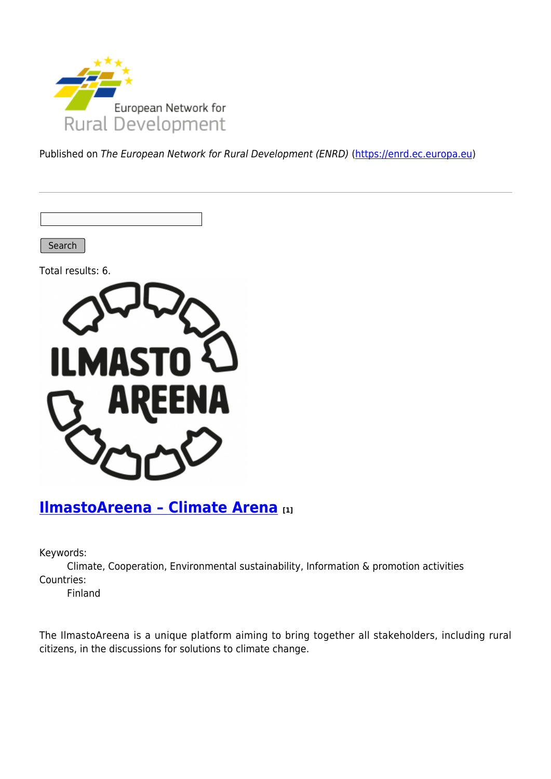

Published on The European Network for Rural Development (ENRD) [\(https://enrd.ec.europa.eu](https://enrd.ec.europa.eu))

Search

Total results: 6.



## **[IlmastoAreena – Climate Arena](https://enrd.ec.europa.eu/projects-practice/ilmastoareena-climate-arena_en) [1]**

Keywords:

Climate, Cooperation, Environmental sustainability, Information & promotion activities Countries:

Finland

The IlmastoAreena is a unique platform aiming to bring together all stakeholders, including rural citizens, in the discussions for solutions to climate change.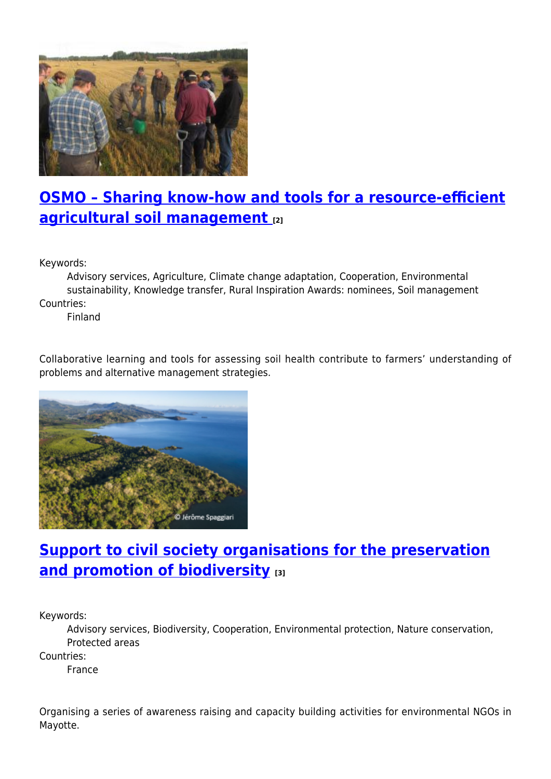

# **[OSMO – Sharing know-how and tools for a resource-efficient](https://enrd.ec.europa.eu/projects-practice/osmo-sharing-know-how-and-tools-resource-efficient-agricultural-soil-management_en) [agricultural soil management](https://enrd.ec.europa.eu/projects-practice/osmo-sharing-know-how-and-tools-resource-efficient-agricultural-soil-management_en) [2]**

Keywords:

Advisory services, Agriculture, Climate change adaptation, Cooperation, Environmental sustainability, Knowledge transfer, Rural Inspiration Awards: nominees, Soil management Countries:

Finland

Collaborative learning and tools for assessing soil health contribute to farmers' understanding of problems and alternative management strategies.



## **[Support to civil society organisations for the preservation](https://enrd.ec.europa.eu/projects-practice/support-civil-society-organisations-preservation-and-promotion-biodiversity_en) [and promotion of biodiversity](https://enrd.ec.europa.eu/projects-practice/support-civil-society-organisations-preservation-and-promotion-biodiversity_en) [3]**

Keywords:

Advisory services, Biodiversity, Cooperation, Environmental protection, Nature conservation, Protected areas

Countries:

France

Organising a series of awareness raising and capacity building activities for environmental NGOs in Mayotte.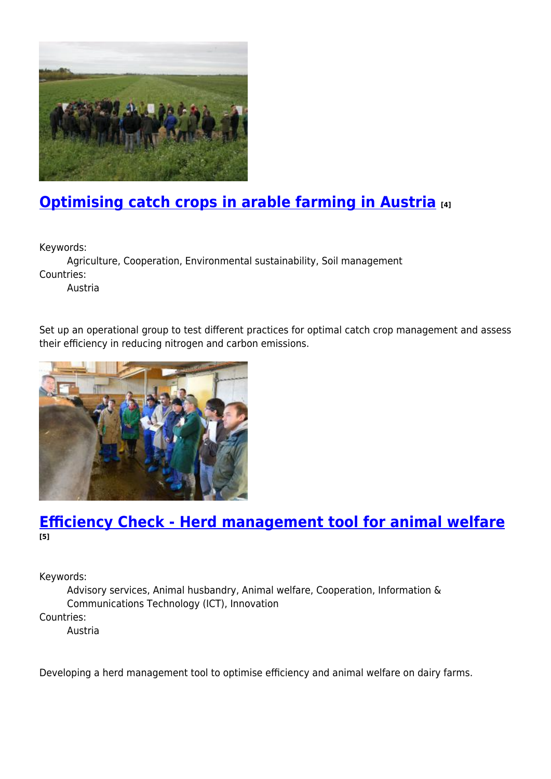

# **[Optimising catch crops in arable farming in Austria](https://enrd.ec.europa.eu/projects-practice/optimising-catch-crops-arable-farming-austria_en) [4]**

Keywords:

Agriculture, Cooperation, Environmental sustainability, Soil management Countries:

Austria

Set up an operational group to test different practices for optimal catch crop management and assess their efficiency in reducing nitrogen and carbon emissions.



### **[Efficiency Check - Herd management tool for animal welfare](https://enrd.ec.europa.eu/projects-practice/efficiency-check-herd-management-tool-animal-welfare_en) [5]**

Keywords:

Advisory services, Animal husbandry, Animal welfare, Cooperation, Information & Communications Technology (ICT), Innovation Countries:

Austria

Developing a herd management tool to optimise efficiency and animal welfare on dairy farms.